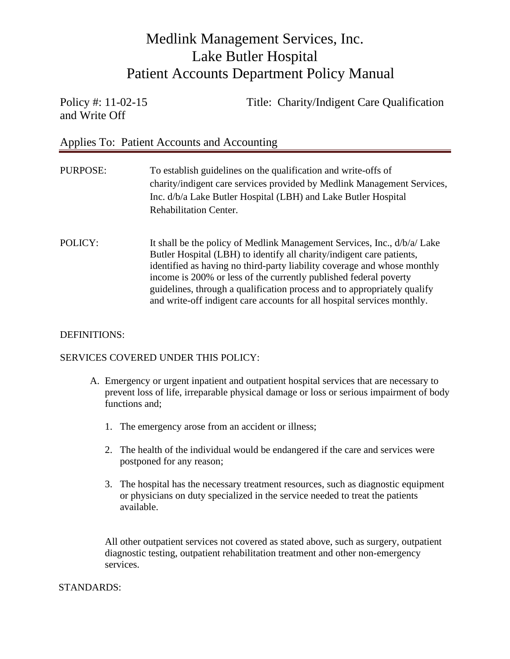and Write Off

Policy #: 11-02-15 Title: Charity/Indigent Care Qualification

Applies To: Patient Accounts and Accounting

| PURPOSE: | To establish guidelines on the qualification and write-offs of<br>charity/indigent care services provided by Medlink Management Services,<br>Inc. d/b/a Lake Butler Hospital (LBH) and Lake Butler Hospital<br><b>Rehabilitation Center.</b>                                                                                                                                                                                                              |
|----------|-----------------------------------------------------------------------------------------------------------------------------------------------------------------------------------------------------------------------------------------------------------------------------------------------------------------------------------------------------------------------------------------------------------------------------------------------------------|
| POLICY:  | It shall be the policy of Medlink Management Services, Inc., d/b/a/ Lake<br>Butler Hospital (LBH) to identify all charity/indigent care patients,<br>identified as having no third-party liability coverage and whose monthly<br>income is 200% or less of the currently published federal poverty<br>guidelines, through a qualification process and to appropriately qualify<br>and write-off indigent care accounts for all hospital services monthly. |

#### DEFINITIONS:

#### SERVICES COVERED UNDER THIS POLICY:

- A. Emergency or urgent inpatient and outpatient hospital services that are necessary to prevent loss of life, irreparable physical damage or loss or serious impairment of body functions and;
	- 1. The emergency arose from an accident or illness;
	- 2. The health of the individual would be endangered if the care and services were postponed for any reason;
	- 3. The hospital has the necessary treatment resources, such as diagnostic equipment or physicians on duty specialized in the service needed to treat the patients available.

All other outpatient services not covered as stated above, such as surgery, outpatient diagnostic testing, outpatient rehabilitation treatment and other non-emergency services.

#### STANDARDS: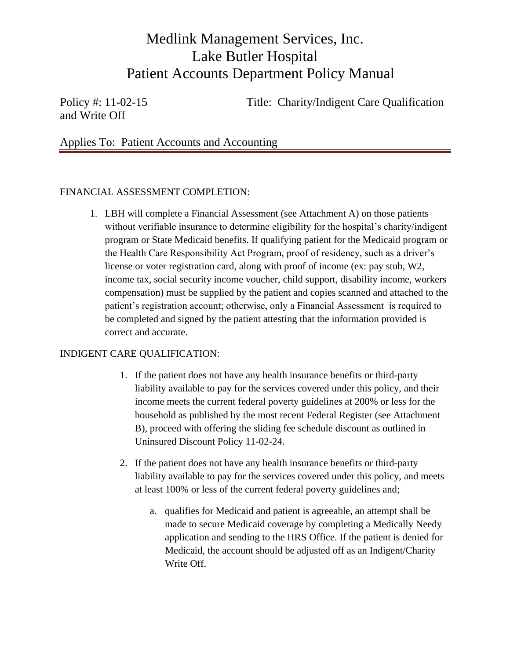and Write Off

Policy #: 11-02-15 Title: Charity/Indigent Care Qualification

Applies To: Patient Accounts and Accounting

### FINANCIAL ASSESSMENT COMPLETION:

1. LBH will complete a Financial Assessment (see Attachment A) on those patients without verifiable insurance to determine eligibility for the hospital's charity/indigent program or State Medicaid benefits. If qualifying patient for the Medicaid program or the Health Care Responsibility Act Program, proof of residency, such as a driver's license or voter registration card, along with proof of income (ex: pay stub, W2, income tax, social security income voucher, child support, disability income, workers compensation) must be supplied by the patient and copies scanned and attached to the patient's registration account; otherwise, only a Financial Assessment is required to be completed and signed by the patient attesting that the information provided is correct and accurate.

### INDIGENT CARE QUALIFICATION:

- 1. If the patient does not have any health insurance benefits or third-party liability available to pay for the services covered under this policy, and their income meets the current federal poverty guidelines at 200% or less for the household as published by the most recent Federal Register (see Attachment B), proceed with offering the sliding fee schedule discount as outlined in Uninsured Discount Policy 11-02-24.
- 2. If the patient does not have any health insurance benefits or third-party liability available to pay for the services covered under this policy, and meets at least 100% or less of the current federal poverty guidelines and;
	- a. qualifies for Medicaid and patient is agreeable, an attempt shall be made to secure Medicaid coverage by completing a Medically Needy application and sending to the HRS Office. If the patient is denied for Medicaid, the account should be adjusted off as an Indigent/Charity Write Off.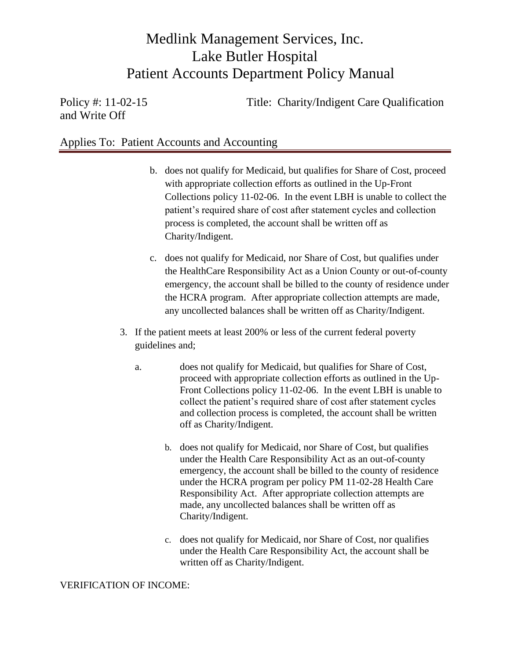and Write Off

Policy #: 11-02-15 Title: Charity/Indigent Care Qualification

## Applies To: Patient Accounts and Accounting

- b. does not qualify for Medicaid, but qualifies for Share of Cost, proceed with appropriate collection efforts as outlined in the Up-Front Collections policy 11-02-06. In the event LBH is unable to collect the patient's required share of cost after statement cycles and collection process is completed, the account shall be written off as Charity/Indigent.
- c. does not qualify for Medicaid, nor Share of Cost, but qualifies under the HealthCare Responsibility Act as a Union County or out-of-county emergency, the account shall be billed to the county of residence under the HCRA program. After appropriate collection attempts are made, any uncollected balances shall be written off as Charity/Indigent.
- 3. If the patient meets at least 200% or less of the current federal poverty guidelines and;
	- a. does not qualify for Medicaid, but qualifies for Share of Cost, proceed with appropriate collection efforts as outlined in the Up-Front Collections policy 11-02-06. In the event LBH is unable to collect the patient's required share of cost after statement cycles and collection process is completed, the account shall be written off as Charity/Indigent.
		- b. does not qualify for Medicaid, nor Share of Cost, but qualifies under the Health Care Responsibility Act as an out-of-county emergency, the account shall be billed to the county of residence under the HCRA program per policy PM 11-02-28 Health Care Responsibility Act. After appropriate collection attempts are made, any uncollected balances shall be written off as Charity/Indigent.
		- c. does not qualify for Medicaid, nor Share of Cost, nor qualifies under the Health Care Responsibility Act, the account shall be written off as Charity/Indigent.

#### VERIFICATION OF INCOME: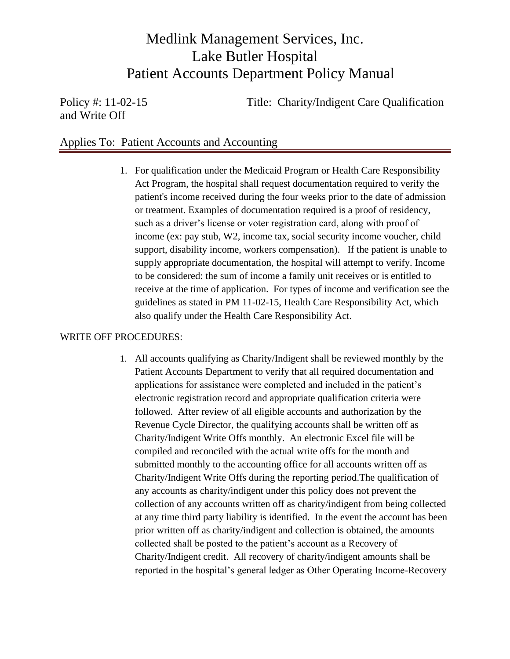and Write Off

Policy #: 11-02-15 Title: Charity/Indigent Care Qualification

## Applies To: Patient Accounts and Accounting

1. For qualification under the Medicaid Program or Health Care Responsibility Act Program, the hospital shall request documentation required to verify the patient's income received during the four weeks prior to the date of admission or treatment. Examples of documentation required is a proof of residency, such as a driver's license or voter registration card, along with proof of income (ex: pay stub, W2, income tax, social security income voucher, child support, disability income, workers compensation). If the patient is unable to supply appropriate documentation, the hospital will attempt to verify. Income to be considered: the sum of income a family unit receives or is entitled to receive at the time of application. For types of income and verification see the guidelines as stated in PM 11-02-15, Health Care Responsibility Act, which also qualify under the Health Care Responsibility Act.

#### WRITE OFF PROCEDURES:

1. All accounts qualifying as Charity/Indigent shall be reviewed monthly by the Patient Accounts Department to verify that all required documentation and applications for assistance were completed and included in the patient's electronic registration record and appropriate qualification criteria were followed. After review of all eligible accounts and authorization by the Revenue Cycle Director, the qualifying accounts shall be written off as Charity/Indigent Write Offs monthly. An electronic Excel file will be compiled and reconciled with the actual write offs for the month and submitted monthly to the accounting office for all accounts written off as Charity/Indigent Write Offs during the reporting period.The qualification of any accounts as charity/indigent under this policy does not prevent the collection of any accounts written off as charity/indigent from being collected at any time third party liability is identified. In the event the account has been prior written off as charity/indigent and collection is obtained, the amounts collected shall be posted to the patient's account as a Recovery of Charity/Indigent credit. All recovery of charity/indigent amounts shall be reported in the hospital's general ledger as Other Operating Income-Recovery